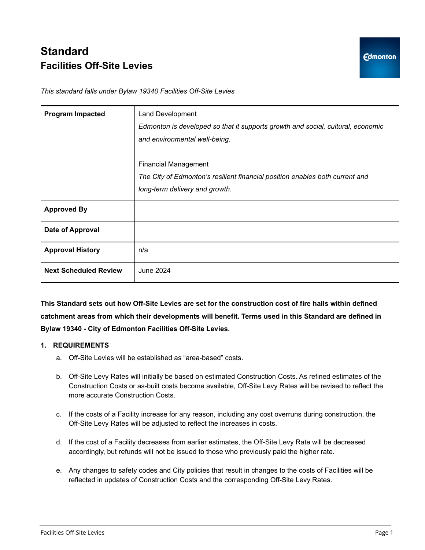## **Standard Facilities Off-Site Levies**

*This standard falls under Bylaw 19340 Facilities Off-Site Levies*

| <b>Program Impacted</b>      | <b>Land Development</b>                                                         |
|------------------------------|---------------------------------------------------------------------------------|
|                              | Edmonton is developed so that it supports growth and social, cultural, economic |
|                              | and environmental well-being.                                                   |
|                              |                                                                                 |
|                              | <b>Financial Management</b>                                                     |
|                              | The City of Edmonton's resilient financial position enables both current and    |
|                              | long-term delivery and growth.                                                  |
|                              |                                                                                 |
| <b>Approved By</b>           |                                                                                 |
| Date of Approval             |                                                                                 |
| <b>Approval History</b>      | n/a                                                                             |
| <b>Next Scheduled Review</b> | June 2024                                                                       |

This Standard sets out how Off-Site Levies are set for the construction cost of fire halls within defined **catchment areas from which their developments will benefit. Terms used in this Standard are defined in Bylaw 19340 - City of Edmonton Facilities Off-Site Levies.**

## **1. REQUIREMENTS**

- a. Off-Site Levies will be established as "area-based" costs.
- b. Off-Site Levy Rates will initially be based on estimated Construction Costs. As refined estimates of the Construction Costs or as-built costs become available, Off-Site Levy Rates will be revised to reflect the more accurate Construction Costs.
- c. If the costs of a Facility increase for any reason, including any cost overruns during construction, the Off-Site Levy Rates will be adjusted to reflect the increases in costs.
- d. If the cost of a Facility decreases from earlier estimates, the Off-Site Levy Rate will be decreased accordingly, but refunds will not be issued to those who previously paid the higher rate.
- e. Any changes to safety codes and City policies that result in changes to the costs of Facilities will be reflected in updates of Construction Costs and the corresponding Off-Site Levy Rates.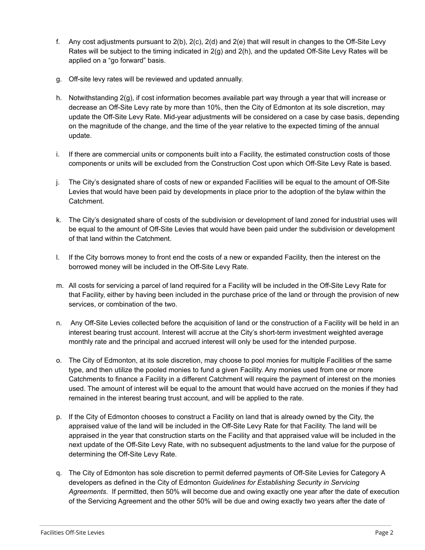- f. Any cost adjustments pursuant to 2(b), 2(c), 2(d) and 2(e) that will result in changes to the Off-Site Levy Rates will be subject to the timing indicated in 2(g) and 2(h), and the updated Off-Site Levy Rates will be applied on a "go forward" basis.
- g. Off-site levy rates will be reviewed and updated annually.
- h. Notwithstanding 2(g), if cost information becomes available part way through a year that will increase or decrease an Off-Site Levy rate by more than 10%, then the City of Edmonton at its sole discretion, may update the Off-Site Levy Rate. Mid-year adjustments will be considered on a case by case basis, depending on the magnitude of the change, and the time of the year relative to the expected timing of the annual update.
- i. If there are commercial units or components built into a Facility, the estimated construction costs of those components or units will be excluded from the Construction Cost upon which Off-Site Levy Rate is based.
- j. The City's designated share of costs of new or expanded Facilities will be equal to the amount of Off-Site Levies that would have been paid by developments in place prior to the adoption of the bylaw within the Catchment.
- k. The City's designated share of costs of the subdivision or development of land zoned for industrial uses will be equal to the amount of Off-Site Levies that would have been paid under the subdivision or development of that land within the Catchment.
- l. If the City borrows money to front end the costs of a new or expanded Facility, then the interest on the borrowed money will be included in the Off-Site Levy Rate.
- m. All costs for servicing a parcel of land required for a Facility will be included in the Off-Site Levy Rate for that Facility, either by having been included in the purchase price of the land or through the provision of new services, or combination of the two.
- n. Any Off-Site Levies collected before the acquisition of land or the construction of a Facility will be held in an interest bearing trust account. Interest will accrue at the City's short-term investment weighted average monthly rate and the principal and accrued interest will only be used for the intended purpose.
- o. The City of Edmonton, at its sole discretion, may choose to pool monies for multiple Facilities of the same type, and then utilize the pooled monies to fund a given Facility. Any monies used from one or more Catchments to finance a Facility in a different Catchment will require the payment of interest on the monies used. The amount of interest will be equal to the amount that would have accrued on the monies if they had remained in the interest bearing trust account, and will be applied to the rate.
- p. If the City of Edmonton chooses to construct a Facility on land that is already owned by the City, the appraised value of the land will be included in the Off-Site Levy Rate for that Facility. The land will be appraised in the year that construction starts on the Facility and that appraised value will be included in the next update of the Off-Site Levy Rate, with no subsequent adjustments to the land value for the purpose of determining the Off-Site Levy Rate.
- q. The City of Edmonton has sole discretion to permit deferred payments of Off-Site Levies for Category A developers as defined in the City of Edmonton *Guidelines for Establishing Security in Servicing Agreements*. If permitted, then 50% will become due and owing exactly one year after the date of execution of the Servicing Agreement and the other 50% will be due and owing exactly two years after the date of